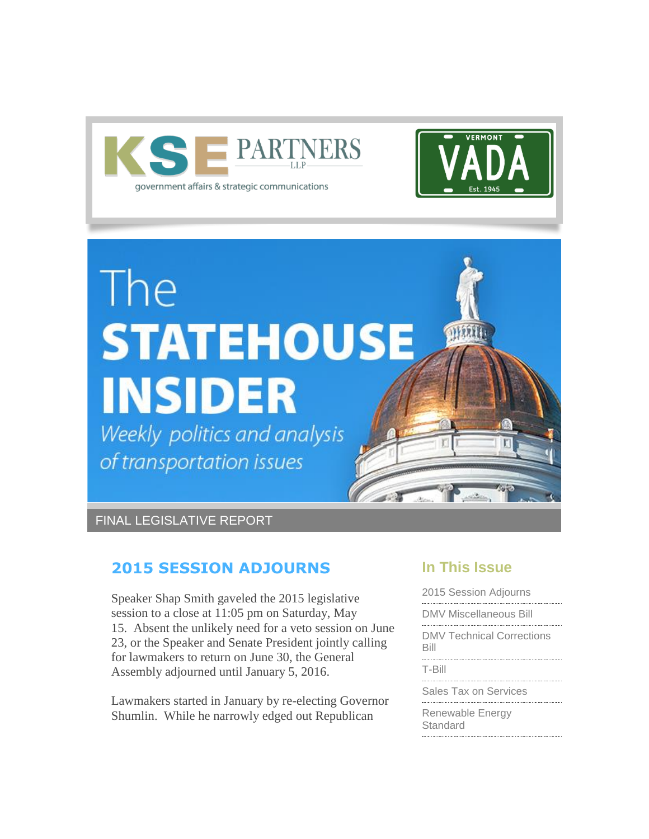



# The **STATEHOUSE INSIDER**

Weekly politics and analysis of transportation issues

FINAL LEGISLATIVE REPORT

# <span id="page-0-0"></span>**2015 SESSION ADJOURNS**

Speaker Shap Smith gaveled the 2015 legislative session to a close at 11:05 pm on Saturday, May 15. Absent the unlikely need for a veto session on June 23, or the Speaker and Senate President jointly calling for lawmakers to return on June 30, the General Assembly adjourned until January 5, 2016.

Lawmakers started in January by re-electing Governor Shumlin. While he narrowly edged out Republican

# **In This Issue**

[2015 Session Adjourns](#page-0-0)

[DMV Miscellaneous Bill](#page-5-0)

[DMV Technical Corrections](#page-6-0)  [Bill](#page-6-0)

[T-Bill](#page-6-0)

[Sales Tax on Services](#page-6-0)

[Renewable Energy](#page-7-0)  **[Standard](#page-7-0)**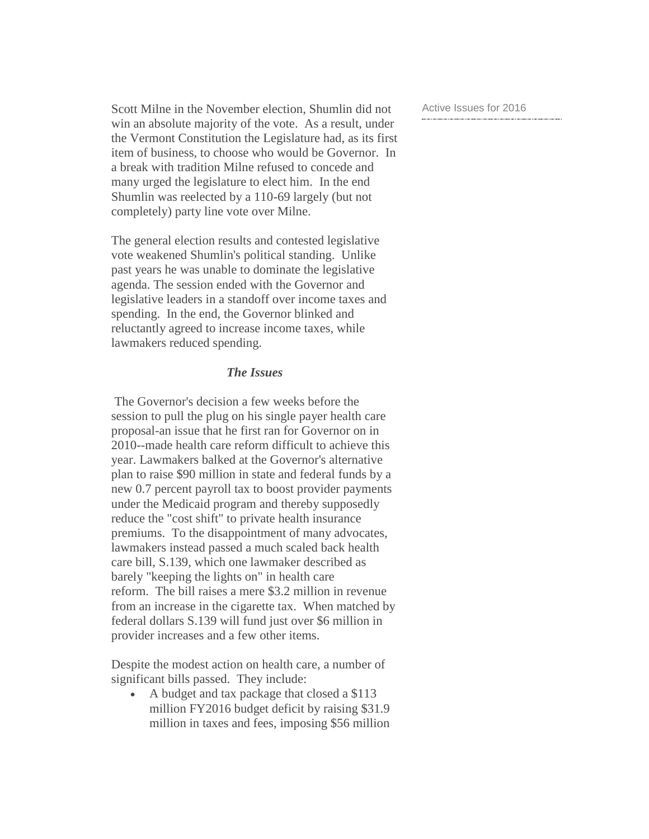Scott Milne in the November election, Shumlin did not win an absolute majority of the vote. As a result, under the Vermont Constitution the Legislature had, as its first item of business, to choose who would be Governor. In a break with tradition Milne refused to concede and many urged the legislature to elect him. In the end Shumlin was reelected by a 110-69 largely (but not completely) party line vote over Milne.

The general election results and contested legislative vote weakened Shumlin's political standing. Unlike past years he was unable to dominate the legislative agenda. The session ended with the Governor and legislative leaders in a standoff over income taxes and spending. In the end, the Governor blinked and reluctantly agreed to increase income taxes, while lawmakers reduced spending.

#### *The Issues*

The Governor's decision a few weeks before the session to pull the plug on his single payer health care proposal-an issue that he first ran for Governor on in 2010--made health care reform difficult to achieve this year. Lawmakers balked at the Governor's alternative plan to raise \$90 million in state and federal funds by a new 0.7 percent payroll tax to boost provider payments under the Medicaid program and thereby supposedly reduce the "cost shift" to private health insurance premiums. To the disappointment of many advocates, lawmakers instead passed a much scaled back health care bill, S.139, which one lawmaker described as barely "keeping the lights on" in health care reform. The bill raises a mere \$3.2 million in revenue from an increase in the cigarette tax. When matched by federal dollars S.139 will fund just over \$6 million in provider increases and a few other items.

Despite the modest action on health care, a number of significant bills passed. They include:

• A budget and tax package that closed a \$113 million FY2016 budget deficit by raising \$31.9 million in taxes and fees, imposing \$56 million [Active Issues for 2016](#page-7-0)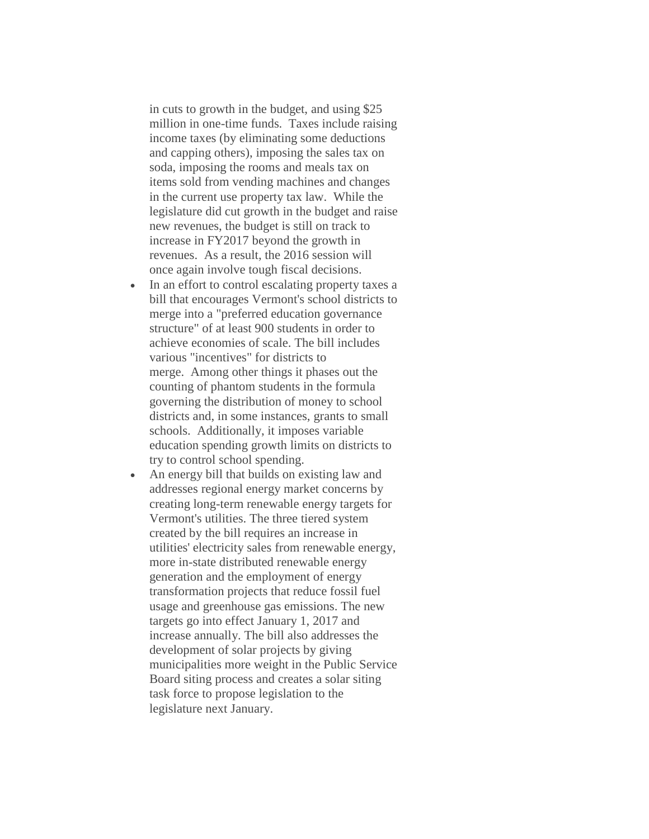in cuts to growth in the budget, and using \$25 million in one-time funds. Taxes include raising income taxes (by eliminating some deductions and capping others), imposing the sales tax on soda, imposing the rooms and meals tax on items sold from vending machines and changes in the current use property tax law. While the legislature did cut growth in the budget and raise new revenues, the budget is still on track to increase in FY2017 beyond the growth in revenues. As a result, the 2016 session will once again involve tough fiscal decisions.

- In an effort to control escalating property taxes a bill that encourages Vermont's school districts to merge into a "preferred education governance structure" of at least 900 students in order to achieve economies of scale. The bill includes various "incentives" for districts to merge. Among other things it phases out the counting of phantom students in the formula governing the distribution of money to school districts and, in some instances, grants to small schools. Additionally, it imposes variable education spending growth limits on districts to try to control school spending.
- An energy bill that builds on existing law and addresses regional energy market concerns by creating long-term renewable energy targets for Vermont's utilities. The three tiered system created by the bill requires an increase in utilities' electricity sales from renewable energy, more in-state distributed renewable energy generation and the employment of energy transformation projects that reduce fossil fuel usage and greenhouse gas emissions. The new targets go into effect January 1, 2017 and increase annually. The bill also addresses the development of solar projects by giving municipalities more weight in the Public Service Board siting process and creates a solar siting task force to propose legislation to the legislature next January.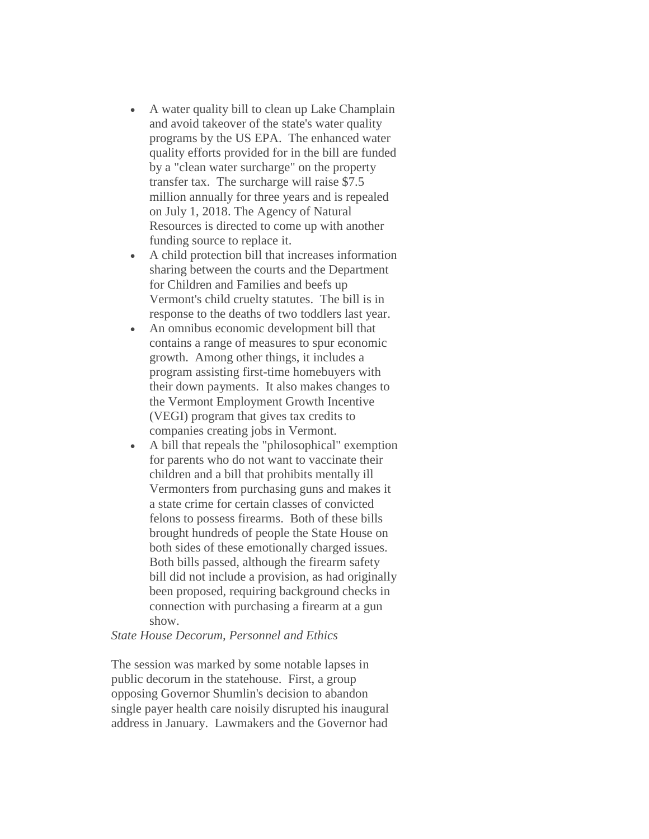- A water quality bill to clean up Lake Champlain and avoid takeover of the state's water quality programs by the US EPA. The enhanced water quality efforts provided for in the bill are funded by a "clean water surcharge" on the property transfer tax. The surcharge will raise \$7.5 million annually for three years and is repealed on July 1, 2018. The Agency of Natural Resources is directed to come up with another funding source to replace it.
- A child protection bill that increases information sharing between the courts and the Department for Children and Families and beefs up Vermont's child cruelty statutes. The bill is in response to the deaths of two toddlers last year.
- An omnibus economic development bill that contains a range of measures to spur economic growth. Among other things, it includes a program assisting first-time homebuyers with their down payments. It also makes changes to the Vermont Employment Growth Incentive (VEGI) program that gives tax credits to companies creating jobs in Vermont.
- A bill that repeals the "philosophical" exemption for parents who do not want to vaccinate their children and a bill that prohibits mentally ill Vermonters from purchasing guns and makes it a state crime for certain classes of convicted felons to possess firearms. Both of these bills brought hundreds of people the State House on both sides of these emotionally charged issues. Both bills passed, although the firearm safety bill did not include a provision, as had originally been proposed, requiring background checks in connection with purchasing a firearm at a gun show.

#### *State House Decorum, Personnel and Ethics*

The session was marked by some notable lapses in public decorum in the statehouse. First, a group opposing Governor Shumlin's decision to abandon single payer health care noisily disrupted his inaugural address in January. Lawmakers and the Governor had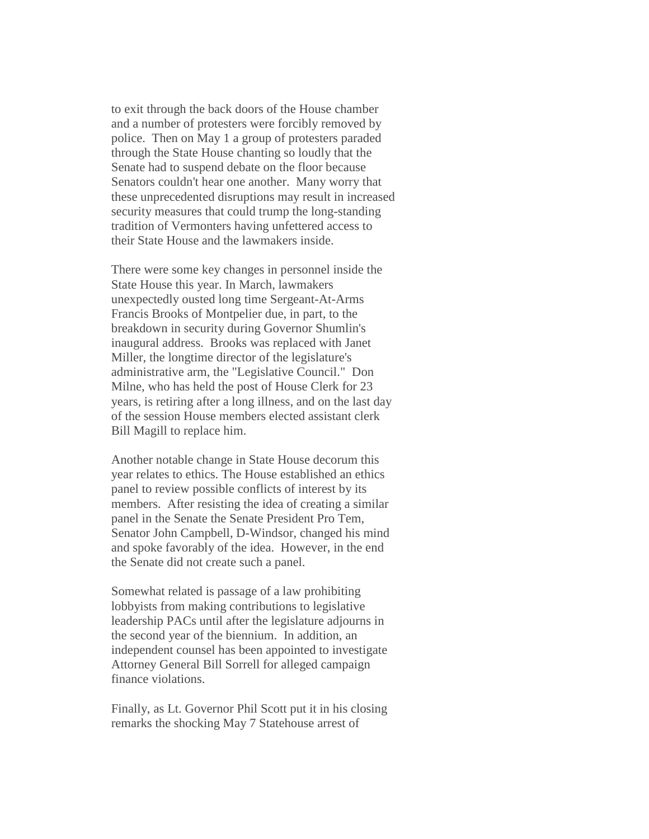to exit through the back doors of the House chamber and a number of protesters were forcibly removed by police. Then on May 1 a group of protesters paraded through the State House chanting so loudly that the Senate had to suspend debate on the floor because Senators couldn't hear one another. Many worry that these unprecedented disruptions may result in increased security measures that could trump the long-standing tradition of Vermonters having unfettered access to their State House and the lawmakers inside.

There were some key changes in personnel inside the State House this year. In March, lawmakers unexpectedly ousted long time Sergeant-At-Arms Francis Brooks of Montpelier due, in part, to the breakdown in security during Governor Shumlin's inaugural address. Brooks was replaced with Janet Miller, the longtime director of the legislature's administrative arm, the "Legislative Council." Don Milne, who has held the post of House Clerk for 23 years, is retiring after a long illness, and on the last day of the session House members elected assistant clerk Bill Magill to replace him.

Another notable change in State House decorum this year relates to ethics. The House established an ethics panel to review possible conflicts of interest by its members. After resisting the idea of creating a similar panel in the Senate the Senate President Pro Tem, Senator John Campbell, D-Windsor, changed his mind and spoke favorably of the idea. However, in the end the Senate did not create such a panel.

Somewhat related is passage of a law prohibiting lobbyists from making contributions to legislative leadership PACs until after the legislature adjourns in the second year of the biennium. In addition, an independent counsel has been appointed to investigate Attorney General Bill Sorrell for alleged campaign finance violations.

Finally, as Lt. Governor Phil Scott put it in his closing remarks the shocking May 7 Statehouse arrest of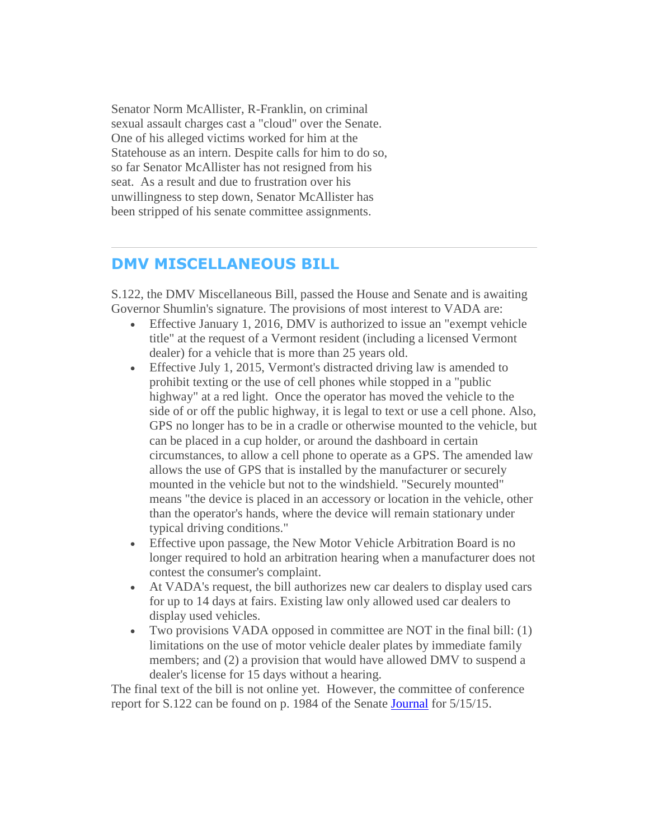Senator Norm McAllister, R-Franklin, on criminal sexual assault charges cast a "cloud" over the Senate. One of his alleged victims worked for him at the Statehouse as an intern. Despite calls for him to do so, so far Senator McAllister has not resigned from his seat. As a result and due to frustration over his unwillingness to step down, Senator McAllister has been stripped of his senate committee assignments.

## <span id="page-5-0"></span>**DMV MISCELLANEOUS BILL**

S.122, the DMV Miscellaneous Bill, passed the House and Senate and is awaiting Governor Shumlin's signature. The provisions of most interest to VADA are:

- Effective January 1, 2016, DMV is authorized to issue an "exempt vehicle title" at the request of a Vermont resident (including a licensed Vermont dealer) for a vehicle that is more than 25 years old.
- Effective July 1, 2015, Vermont's distracted driving law is amended to prohibit texting or the use of cell phones while stopped in a "public highway" at a red light. Once the operator has moved the vehicle to the side of or off the public highway, it is legal to text or use a cell phone. Also, GPS no longer has to be in a cradle or otherwise mounted to the vehicle, but can be placed in a cup holder, or around the dashboard in certain circumstances, to allow a cell phone to operate as a GPS. The amended law allows the use of GPS that is installed by the manufacturer or securely mounted in the vehicle but not to the windshield. "Securely mounted" means "the device is placed in an accessory or location in the vehicle, other than the operator's hands, where the device will remain stationary under typical driving conditions."
- Effective upon passage, the New Motor Vehicle Arbitration Board is no longer required to hold an arbitration hearing when a manufacturer does not contest the consumer's complaint.
- At VADA's request, the bill authorizes new car dealers to display used cars for up to 14 days at fairs. Existing law only allowed used car dealers to display used vehicles.
- Two provisions VADA opposed in committee are NOT in the final bill: (1) limitations on the use of motor vehicle dealer plates by immediate family members; and (2) a provision that would have allowed DMV to suspend a dealer's license for 15 days without a hearing.

The final text of the bill is not online yet. However, the committee of conference report for S.122 can be found on p. 1984 of the Senate **Journal** for 5/15/15.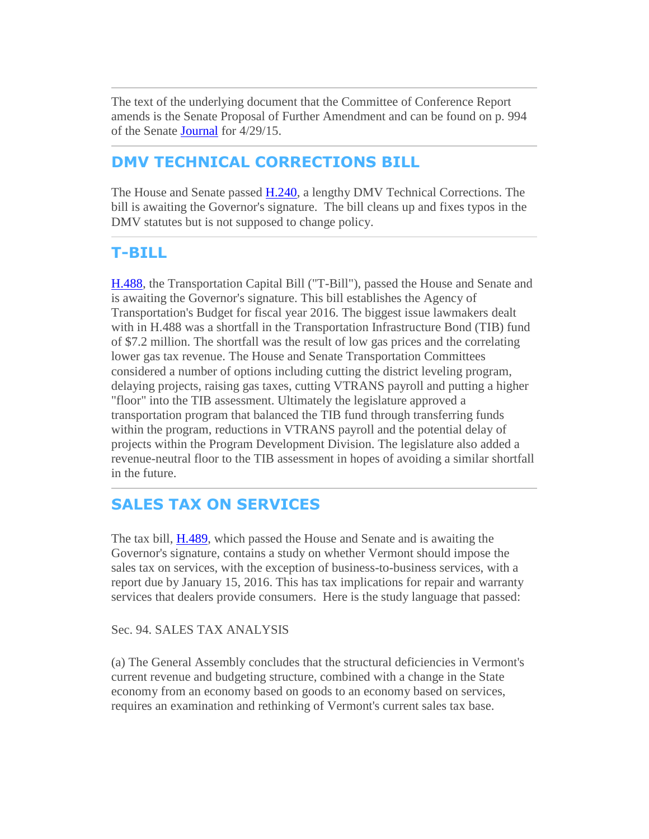<span id="page-6-0"></span>The text of the underlying document that the Committee of Conference Report amends is the Senate Proposal of Further Amendment and can be found on p. 994 of the Senate [Journal](http://r20.rs6.net/tn.jsp?f=001xRAWGF6vdIaapszlUvK4pLVBGqTmyd42OY_9FRrFNVw0-_U9srTv7xIQ4ybgdaGZu2tXjYnH6t5CurhhNSIs_VrtplfO3hsViyZ5YCF4uhJ-KRa0xpANkRdBZiZhSH7YKuawqDOJO9hk1EbNW-5cqwk6eixz2LW7_KJtbJSYnvC5aXOFPoPRWqKPZFRGW9p2-uFuYzGk4f3uFzOW3R5Lt7HVmqgl2p51xe7QChAhqqLsXL2g3DXBhycLFKddf0_1BY6IoAN0jkUaAky7QhYpRg==&c=eVaJlIGX7oMyH7Hq4I3nhcfP27PCA9PtLctoEEnHCqJZXGHGb553Ig==&ch=yDrijiYFxZ96q8WkE_pus9_ktiSVKTszxRrbrHnpIxRQWKvHqG_a3w==) for 4/29/15.

# **DMV TECHNICAL CORRECTIONS BILL**

The House and Senate passed [H.240,](http://r20.rs6.net/tn.jsp?f=001xRAWGF6vdIaapszlUvK4pLVBGqTmyd42OY_9FRrFNVw0-_U9srTv7xIQ4ybgdaGZO7gQBm5QwYNjBszJtmKSrZF1AF_B80qogTX9iuHGTFHTOa7PlR_8kb1dOquoy3m_D55MD0sEx4SuH2R3YYeKbTrH_BfnCWyE9igoXGwZrzkjMkZU6issDEfdKMc_N1j38Lf4H5L33jqVSGLKRgEptZL5f1avTJy0Yw-DB4J0FYfQAzoGwcbkJstU2cZPsE8Z3AKeuQAw-bzhf6sn4l4QWD1TnYu7eCsa0eOrfJ5FKTB50w9K9uqCGrJTt7CnYipafv4hmOaXuaJnL_LNgmdoZMPw6MRtkP_qFR26OjevCUQ0cgirBvi1mw==&c=eVaJlIGX7oMyH7Hq4I3nhcfP27PCA9PtLctoEEnHCqJZXGHGb553Ig==&ch=yDrijiYFxZ96q8WkE_pus9_ktiSVKTszxRrbrHnpIxRQWKvHqG_a3w==) a lengthy DMV Technical Corrections. The bill is awaiting the Governor's signature. The bill cleans up and fixes typos in the DMV statutes but is not supposed to change policy.

## **T-BILL**

[H.488,](http://r20.rs6.net/tn.jsp?f=001xRAWGF6vdIaapszlUvK4pLVBGqTmyd42OY_9FRrFNVw0-_U9srTv7xIQ4ybgdaGZKv59AA4fXCE1-OWm4xIuc29c_8tLUJz4Pt55mQU_HvBaPw4PckkQn2M2fmyBZ0O_26WAwDd2spl1D5d_gdGAGTk-j69se95Hd4jfG0Dbp3xIs-ciL_CoDmsbIegatrql6UBQ6nuiV5L-Xk6q-v-ortmoVwsgMktCqMOISkjMo288zVo-NWKQ3YeCgfIS5Iv0jCvYfZald5Beu5NpVstbXHt19xjoT1WiiwSqZXy39P7ukbxDujoRz9GXEuPtWAn8pL-1mhZfNxQMpv8dJrxb160meNovndX09AZbdyEah9V9WJ9Z-cq4DA==&c=eVaJlIGX7oMyH7Hq4I3nhcfP27PCA9PtLctoEEnHCqJZXGHGb553Ig==&ch=yDrijiYFxZ96q8WkE_pus9_ktiSVKTszxRrbrHnpIxRQWKvHqG_a3w==) the Transportation Capital Bill ("T-Bill"), passed the House and Senate and is awaiting the Governor's signature. This bill establishes the Agency of Transportation's Budget for fiscal year 2016. The biggest issue lawmakers dealt with in H.488 was a shortfall in the Transportation Infrastructure Bond (TIB) fund of \$7.2 million. The shortfall was the result of low gas prices and the correlating lower gas tax revenue. The House and Senate Transportation Committees considered a number of options including cutting the district leveling program, delaying projects, raising gas taxes, cutting VTRANS payroll and putting a higher "floor" into the TIB assessment. Ultimately the legislature approved a transportation program that balanced the TIB fund through transferring funds within the program, reductions in VTRANS payroll and the potential delay of projects within the Program Development Division. The legislature also added a revenue-neutral floor to the TIB assessment in hopes of avoiding a similar shortfall in the future.

# **SALES TAX ON SERVICES**

The tax bill, [H.489,](http://r20.rs6.net/tn.jsp?f=001xRAWGF6vdIaapszlUvK4pLVBGqTmyd42OY_9FRrFNVw0-_U9srTv7xIQ4ybgdaGZ_Fa3tPQz0HoCvs--Ds8PDiYF8pAd5QZepUI_n_ngmRGX2yk-eYb36l_tmr1GjuqHPQxgUJcg8HESMyOLoO9MHgwKIKaL0zqvziDXujdwSG_JVhMZlkhY0-x_7frOgkUPWOeoJLSffndka9vFz5P62HTO72DNJwghQKx0iwyOU9ESOZzE2H1pZbWMV5lbDqDOjxd3OHQzBusBhWTNwUbAQ_JBdQD942y3SZgR2vZiWg4RQ9gE8bTL4JYimWe1rr84bXXHK3m_3RVrVPu2CKLm-lI3lPh5JNMYeJ5CFNFInbK7GacF1HRr9Q==&c=eVaJlIGX7oMyH7Hq4I3nhcfP27PCA9PtLctoEEnHCqJZXGHGb553Ig==&ch=yDrijiYFxZ96q8WkE_pus9_ktiSVKTszxRrbrHnpIxRQWKvHqG_a3w==) which passed the House and Senate and is awaiting the Governor's signature, contains a study on whether Vermont should impose the sales tax on services, with the exception of business-to-business services, with a report due by January 15, 2016. This has tax implications for repair and warranty services that dealers provide consumers. Here is the study language that passed:

## Sec. 94. SALES TAX ANALYSIS

(a) The General Assembly concludes that the structural deficiencies in Vermont's current revenue and budgeting structure, combined with a change in the State economy from an economy based on goods to an economy based on services, requires an examination and rethinking of Vermont's current sales tax base.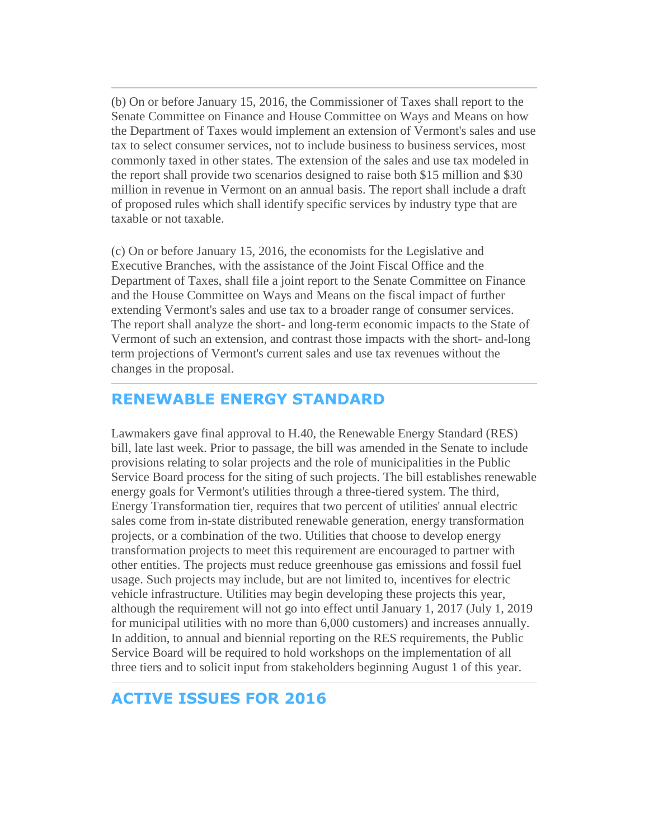<span id="page-7-0"></span>(b) On or before January 15, 2016, the Commissioner of Taxes shall report to the Senate Committee on Finance and House Committee on Ways and Means on how the Department of Taxes would implement an extension of Vermont's sales and use tax to select consumer services, not to include business to business services, most commonly taxed in other states. The extension of the sales and use tax modeled in the report shall provide two scenarios designed to raise both \$15 million and \$30 million in revenue in Vermont on an annual basis. The report shall include a draft of proposed rules which shall identify specific services by industry type that are taxable or not taxable.

(c) On or before January 15, 2016, the economists for the Legislative and Executive Branches, with the assistance of the Joint Fiscal Office and the Department of Taxes, shall file a joint report to the Senate Committee on Finance and the House Committee on Ways and Means on the fiscal impact of further extending Vermont's sales and use tax to a broader range of consumer services. The report shall analyze the short- and long-term economic impacts to the State of Vermont of such an extension, and contrast those impacts with the short- and-long term projections of Vermont's current sales and use tax revenues without the changes in the proposal.

## **RENEWABLE ENERGY STANDARD**

Lawmakers gave final approval to H.40, the Renewable Energy Standard (RES) bill, late last week. Prior to passage, the bill was amended in the Senate to include provisions relating to solar projects and the role of municipalities in the Public Service Board process for the siting of such projects. The bill establishes renewable energy goals for Vermont's utilities through a three-tiered system. The third, Energy Transformation tier, requires that two percent of utilities' annual electric sales come from in-state distributed renewable generation, energy transformation projects, or a combination of the two. Utilities that choose to develop energy transformation projects to meet this requirement are encouraged to partner with other entities. The projects must reduce greenhouse gas emissions and fossil fuel usage. Such projects may include, but are not limited to, incentives for electric vehicle infrastructure. Utilities may begin developing these projects this year, although the requirement will not go into effect until January 1, 2017 (July 1, 2019 for municipal utilities with no more than 6,000 customers) and increases annually. In addition, to annual and biennial reporting on the RES requirements, the Public Service Board will be required to hold workshops on the implementation of all three tiers and to solicit input from stakeholders beginning August 1 of this year.

## **ACTIVE ISSUES FOR 2016**